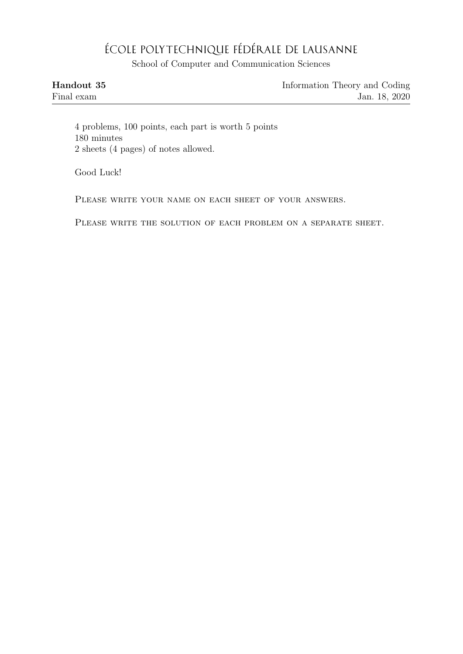## ÉCOLE POLYTECHNIQUE FÉDÉRALE DE LAUSANNE

School of Computer and Communication Sciences

| Handout 35 | Information Theory and Coding |
|------------|-------------------------------|
| Final exam | Jan. 18, 2020                 |

4 problems, 100 points, each part is worth 5 points 180 minutes 2 sheets (4 pages) of notes allowed.

Good Luck!

PLEASE WRITE YOUR NAME ON EACH SHEET OF YOUR ANSWERS.

PLEASE WRITE THE SOLUTION OF EACH PROBLEM ON A SEPARATE SHEET.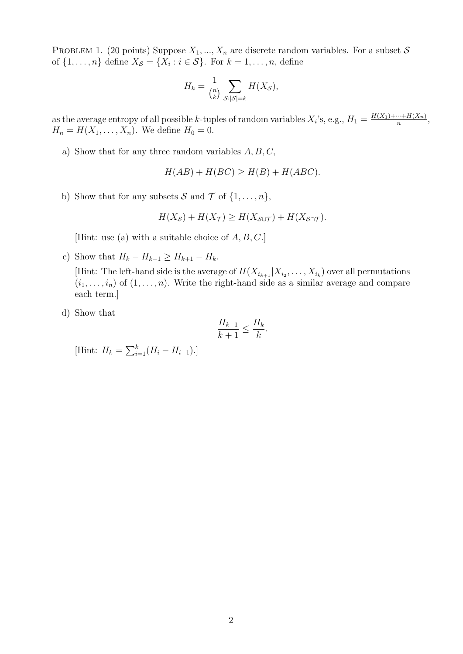PROBLEM 1. (20 points) Suppose  $X_1, ..., X_n$  are discrete random variables. For a subset S of  $\{1, \ldots, n\}$  define  $X_{\mathcal{S}} = \{X_i : i \in \mathcal{S}\}\$ . For  $k = 1, \ldots, n$ , define

$$
H_k = \frac{1}{\binom{n}{k}} \sum_{\mathcal{S}: |\mathcal{S}| = k} H(X_{\mathcal{S}}),
$$

as the average entropy of all possible k-tuples of random variables  $X_i$ 's, e.g.,  $H_1 = \frac{H(X_1) + \dots + H(X_n)}{n}$  $\frac{m+H(\Lambda_n)}{n},$  $H_n = H(X_1, ..., X_n)$ . We define  $H_0 = 0$ .

a) Show that for any three random variables  $A, B, C$ ,

$$
H(AB) + H(BC) \ge H(B) + H(ABC).
$$

b) Show that for any subsets S and T of  $\{1, \ldots, n\}$ ,

$$
H(X_{\mathcal{S}}) + H(X_{\mathcal{T}}) \ge H(X_{\mathcal{S} \cup \mathcal{T}}) + H(X_{\mathcal{S} \cap \mathcal{T}}).
$$

[Hint: use (a) with a suitable choice of  $A, B, C$ .]

- c) Show that  $H_k H_{k-1} \geq H_{k+1} H_k$ . [Hint: The left-hand side is the average of  $H(X_{i_{k+1}} | X_{i_2}, \ldots, X_{i_k})$  over all permutations  $(i_1, \ldots, i_n)$  of  $(1, \ldots, n)$ . Write the right-hand side as a similar average and compare each term.]
- d) Show that

$$
\frac{H_{k+1}}{k+1} \le \frac{H_k}{k}.
$$

[Hint:  $H_k = \sum_{i=1}^k (H_i - H_{i-1}).$ ]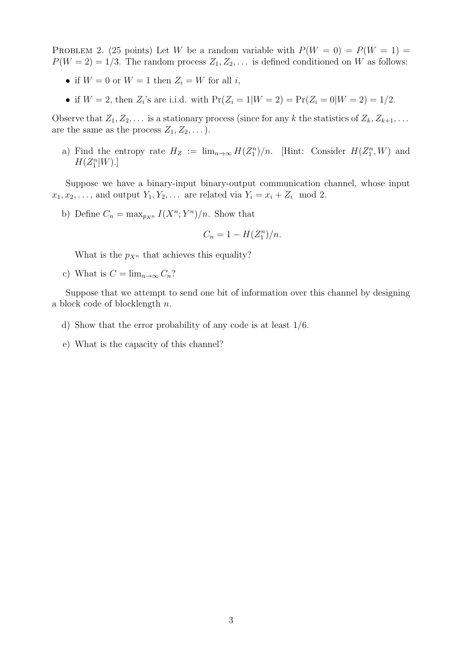PROBLEM 2. (25 points) Let W be a random variable with  $P(W = 0) = P(W = 1)$  $P(W = 2) = 1/3$ . The random process  $Z_1, Z_2, \ldots$  is defined conditioned on W as follows:

- if  $W = 0$  or  $W = 1$  then  $Z_i = W$  for all i,
- if  $W = 2$ , then  $Z_i$ 's are i.i.d. with  $Pr(Z_i = 1 | W = 2) = Pr(Z_i = 0 | W = 2) = 1/2$ .

Observe that  $Z_1, Z_2, \ldots$  is a stationary process (since for any k the statistics of  $Z_k, Z_{k+1}, \ldots$ are the same as the process  $Z_1, Z_2, \ldots$ ).

a) Find the entropy rate  $H_Z := \lim_{n\to\infty} H(Z_1^n)/n$ . [Hint: Consider  $H(Z_1^n, W)$  and  $H(Z_1^n|W).$ 

Suppose we have a binary-input binary-output communication channel, whose input  $x_1, x_2, \ldots$ , and output  $Y_1, Y_2, \ldots$  are related via  $Y_i = x_i + Z_i \mod 2$ .

b) Define  $C_n = \max_{p_{X^n}} I(X^n; Y^n)/n$ . Show that

$$
C_n = 1 - H(Z_1^n)/n.
$$

What is the  $p_{X^n}$  that achieves this equality?

c) What is  $C = \lim_{n \to \infty} C_n$ ?

Suppose that we attempt to send one bit of information over this channel by designing a block code of blocklength n.

- d) Show that the error probability of any code is at least 1/6.
- e) What is the capacity of this channel?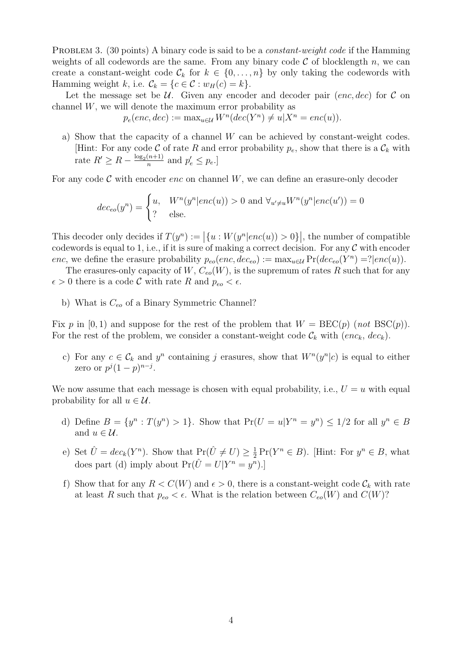PROBLEM 3. (30 points) A binary code is said to be a *constant-weight code* if the Hamming weights of all codewords are the same. From any binary code  $\mathcal C$  of blocklength n, we can create a constant-weight code  $\mathcal{C}_k$  for  $k \in \{0, \ldots, n\}$  by only taking the codewords with Hamming weight k, i.e.  $\mathcal{C}_k = \{c \in \mathcal{C} : w_H(c) = k\}.$ 

Let the message set be  $U$ . Given any encoder and decoder pair (enc, dec) for  $C$  on channel W, we will denote the maximum error probability as

$$
p_e(enc, dec) := \max_{u \in \mathcal{U}} W^n(dec(Y^n) \neq u | X^n = enc(u)).
$$

a) Show that the capacity of a channel  $W$  can be achieved by constant-weight codes. [Hint: For any code C of rate R and error probability  $p_e$ , show that there is a  $\mathcal{C}_k$  with rate  $R' \geq R - \frac{\log_2(n+1)}{n}$  $\frac{(n+1)}{n}$  and  $p'_e \leq p_e$ .

For any code  $\mathcal C$  with encoder enc on channel W, we can define an erasure-only decoder

$$
dec_{eo}(y^n) = \begin{cases} u, & W^n(y^n|enc(u)) > 0 \text{ and } \forall_{u' \neq u} W^n(y^n|enc(u')) = 0\\ ? & \text{else.} \end{cases}
$$

This decoder only decides if  $T(y^n) := |\{u : W(y^n|enc(u)) > 0\}|$ , the number of compatible codewords is equal to 1, i.e., if it is sure of making a correct decision. For any  $\mathcal C$  with encoder enc, we define the erasure probability  $p_{eo}(enc, dec_{eo}) := \max_{u \in \mathcal{U}} \Pr(de_{eo}(Y^n) = ?| enc(u)).$ 

The erasures-only capacity of  $W, C_{eo}(W)$ , is the supremum of rates R such that for any  $\epsilon > 0$  there is a code C with rate R and  $p_{eo} < \epsilon$ .

b) What is  $C_{eo}$  of a Binary Symmetric Channel?

Fix p in [0, 1) and suppose for the rest of the problem that  $W = \text{BEC}(p)$  (not  $\text{BSC}(p)$ ). For the rest of the problem, we consider a constant-weight code  $\mathcal{C}_k$  with  $(enc_k, dec_k)$ .

c) For any  $c \in \mathcal{C}_k$  and  $y^n$  containing j erasures, show that  $W^n(y^n|c)$  is equal to either zero or  $p^j(1-p)^{n-j}$ .

We now assume that each message is chosen with equal probability, i.e.,  $U = u$  with equal probability for all  $u \in \mathcal{U}$ .

- d) Define  $B = \{y^n : T(y^n) > 1\}$ . Show that  $Pr(U = u | Y^n = y^n) \le 1/2$  for all  $y^n \in B$ and  $u \in \mathcal{U}$ .
- e) Set  $\hat{U} = dec_k(Y^n)$ . Show that  $Pr(\hat{U} \neq U) \geq \frac{1}{2}$  $\frac{1}{2} \Pr(Y^n \in B)$ . [Hint: For  $y^n \in B$ , what does part (d) imply about  $Pr(\hat{U} = U | Y^n = y^n).$
- f) Show that for any  $R < C(W)$  and  $\epsilon > 0$ , there is a constant-weight code  $\mathcal{C}_k$  with rate at least R such that  $p_{eo} < \epsilon$ . What is the relation between  $C_{eo}(W)$  and  $C(W)$ ?